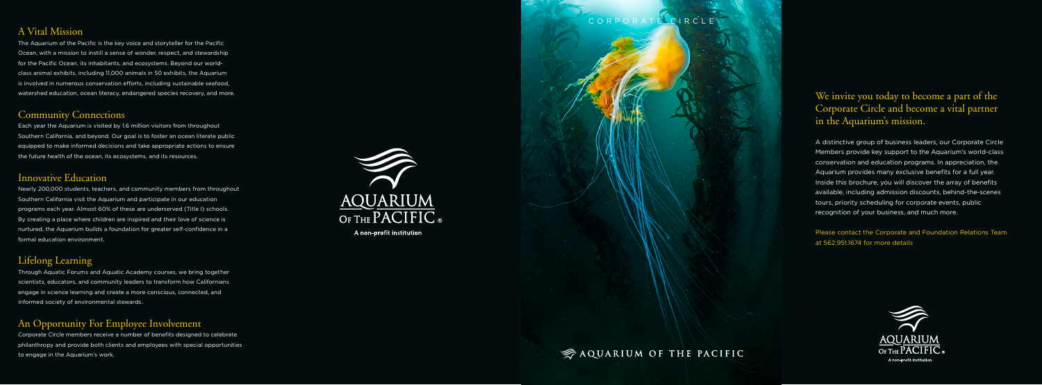# We invite you today to become a part of the Corporate Circle and become a vital partner in the Aquarium's mission.

A distinctive group of business leaders, our Corporate Circle Members provide key support to the Aquarium's world-class conservation and education programs. In appreciation, the Aquarium provides many exclusive benefits for a full year. Inside this brochure, you will discover the array of benefits available, including admission discounts, behind-the-scenes tours, priority scheduling for corporate events, public recognition of your business, and much more.

Please contact the Corporate and Foundation Relations Team at 562.951.1674 for more details



# AQUARIUM OF THE PACIFIC

# A Vital Mission

The Aquarium of the Pacific is the key voice and storyteller for the Pacific Ocean, with a mission to instill a sense of wonder, respect, and stewardship for the Pacific Ocean, its inhabitants, and ecosystems. Beyond our worldclass animal exhibits, including 11,000 animals in 50 exhibits, the Aquarium is involved in numerous conservation efforts, including sustainable seafood, watershed education, ocean literacy, endangered species recovery, and more.

### Community Connections

Each year the Aquarium is visited by 1.6 million visitors from throughout Southern California, and beyond. Our goal is to foster an ocean literate public equipped to make informed decisions and take appropriate actions to ensure the future health of the ocean, its ecosystems, and its resources.

### Innovative Education

Nearly 200,000 students, teachers, and community members from throughout Southern California visit the Aquarium and participate in our education programs each year. Almost 60% of these are underserved (Title I) schools. By creating a place where children are inspired and their love of science is nurtured, the Aquarium builds a foundation for greater self-confidence in a formal education environment.

# Lifelong Learning

Through Aquatic Forums and Aquatic Academy courses, we bring together scientists, educators, and community leaders to transform how Californians engage in science learning and create a more conscious, connected, and informed society of environmental stewards.

# An Opportunity For Employee Involvement

Corporate Circle members receive a number of benefits designed to celebrate philanthropy and provide both clients and employees with special opportunities to engage in the Aquarium's work.



A non-profit institution

# CORPORATE CIRCLE